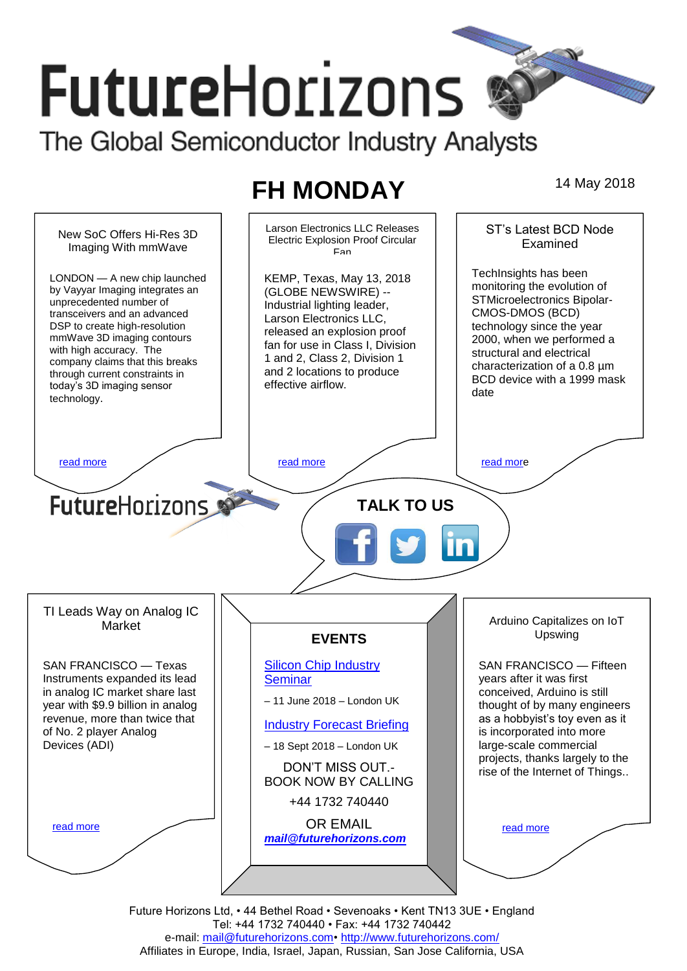# **FutureHorizons**

The Global Semiconductor Industry Analysts

## **FH MONDAY** 14 May 2018



Future Horizons Ltd, • 44 Bethel Road • Sevenoaks • Kent TN13 3UE • England Tel: +44 1732 740440 • Fax: +44 1732 740442 e-mail: mail@futurehorizons.com• http://www.futurehorizons.com/ Affiliates in Europe, India, Israel, Japan, Russian, San Jose California, USA